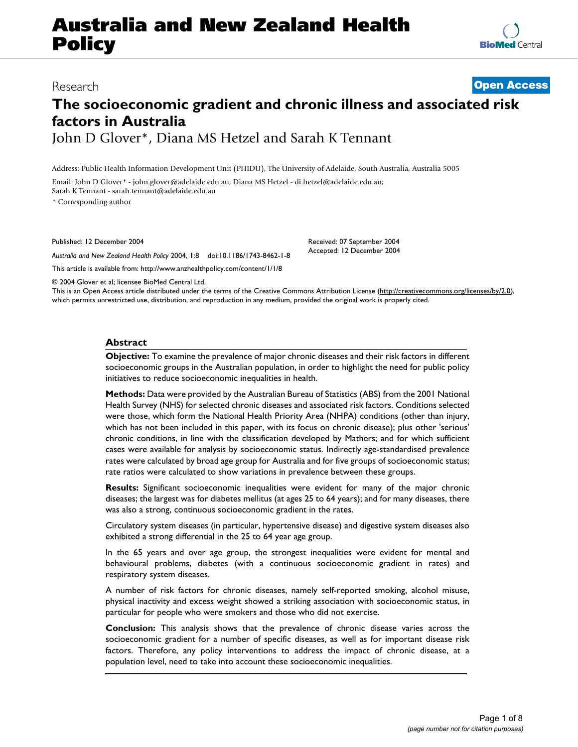# **Australia and New Zealand Health Policy**

## Research **[Open Access](http://www.biomedcentral.com/info/about/charter/)**

# **The socioeconomic gradient and chronic illness and associated risk factors in Australia**

John D Glover\*, Diana MS Hetzel and Sarah K Tennant

Address: Public Health Information Development Unit (PHIDU), The University of Adelaide, South Australia, Australia 5005

Email: John D Glover\* - john.glover@adelaide.edu.au; Diana MS Hetzel - di.hetzel@adelaide.edu.au;

Sarah K Tennant - sarah.tennant@adelaide.edu.au

\* Corresponding author

Published: 12 December 2004

*Australia and New Zealand Health Policy* 2004, **1**:8 doi:10.1186/1743-8462-1-8

[This article is available from: http://www.anzhealthpolicy.com/content/1/1/8](http://www.anzhealthpolicy.com/content/1/1/8)

Received: 07 September 2004 Accepted: 12 December 2004

© 2004 Glover et al; licensee BioMed Central Ltd.

This is an Open Access article distributed under the terms of the Creative Commons Attribution License [\(http://creativecommons.org/licenses/by/2.0\)](http://creativecommons.org/licenses/by/2.0), which permits unrestricted use, distribution, and reproduction in any medium, provided the original work is properly cited.

## **Abstract**

**Objective:** To examine the prevalence of major chronic diseases and their risk factors in different socioeconomic groups in the Australian population, in order to highlight the need for public policy initiatives to reduce socioeconomic inequalities in health.

**Methods:** Data were provided by the Australian Bureau of Statistics (ABS) from the 2001 National Health Survey (NHS) for selected chronic diseases and associated risk factors. Conditions selected were those, which form the National Health Priority Area (NHPA) conditions (other than injury, which has not been included in this paper, with its focus on chronic disease); plus other 'serious' chronic conditions, in line with the classification developed by Mathers; and for which sufficient cases were available for analysis by socioeconomic status. Indirectly age-standardised prevalence rates were calculated by broad age group for Australia and for five groups of socioeconomic status; rate ratios were calculated to show variations in prevalence between these groups.

**Results:** Significant socioeconomic inequalities were evident for many of the major chronic diseases; the largest was for diabetes mellitus (at ages 25 to 64 years); and for many diseases, there was also a strong, continuous socioeconomic gradient in the rates.

Circulatory system diseases (in particular, hypertensive disease) and digestive system diseases also exhibited a strong differential in the 25 to 64 year age group.

In the 65 years and over age group, the strongest inequalities were evident for mental and behavioural problems, diabetes (with a continuous socioeconomic gradient in rates) and respiratory system diseases.

A number of risk factors for chronic diseases, namely self-reported smoking, alcohol misuse, physical inactivity and excess weight showed a striking association with socioeconomic status, in particular for people who were smokers and those who did not exercise.

**Conclusion:** This analysis shows that the prevalence of chronic disease varies across the socioeconomic gradient for a number of specific diseases, as well as for important disease risk factors. Therefore, any policy interventions to address the impact of chronic disease, at a population level, need to take into account these socioeconomic inequalities.

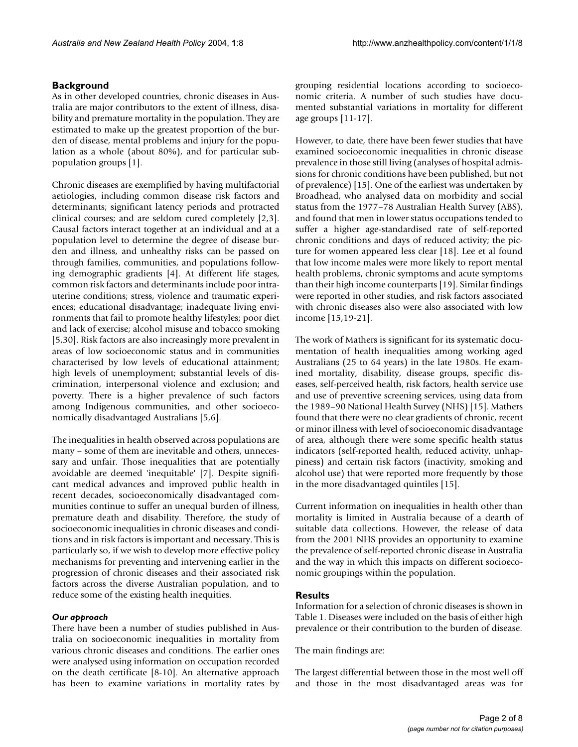## **Background**

As in other developed countries, chronic diseases in Australia are major contributors to the extent of illness, disability and premature mortality in the population. They are estimated to make up the greatest proportion of the burden of disease, mental problems and injury for the population as a whole (about 80%), and for particular subpopulation groups [1].

Chronic diseases are exemplified by having multifactorial aetiologies, including common disease risk factors and determinants; significant latency periods and protracted clinical courses; and are seldom cured completely [2,3]. Causal factors interact together at an individual and at a population level to determine the degree of disease burden and illness, and unhealthy risks can be passed on through families, communities, and populations following demographic gradients [4]. At different life stages, common risk factors and determinants include poor intrauterine conditions; stress, violence and traumatic experiences; educational disadvantage; inadequate living environments that fail to promote healthy lifestyles; poor diet and lack of exercise; alcohol misuse and tobacco smoking [5,30]. Risk factors are also increasingly more prevalent in areas of low socioeconomic status and in communities characterised by low levels of educational attainment; high levels of unemployment; substantial levels of discrimination, interpersonal violence and exclusion; and poverty. There is a higher prevalence of such factors among Indigenous communities, and other socioeconomically disadvantaged Australians [5,6].

The inequalities in health observed across populations are many – some of them are inevitable and others, unnecessary and unfair. Those inequalities that are potentially avoidable are deemed 'inequitable' [7]. Despite significant medical advances and improved public health in recent decades, socioeconomically disadvantaged communities continue to suffer an unequal burden of illness, premature death and disability. Therefore, the study of socioeconomic inequalities in chronic diseases and conditions and in risk factors is important and necessary. This is particularly so, if we wish to develop more effective policy mechanisms for preventing and intervening earlier in the progression of chronic diseases and their associated risk factors across the diverse Australian population, and to reduce some of the existing health inequities.

## *Our approach*

There have been a number of studies published in Australia on socioeconomic inequalities in mortality from various chronic diseases and conditions. The earlier ones were analysed using information on occupation recorded on the death certificate [8-10]. An alternative approach has been to examine variations in mortality rates by grouping residential locations according to socioeconomic criteria. A number of such studies have documented substantial variations in mortality for different age groups [11-17].

However, to date, there have been fewer studies that have examined socioeconomic inequalities in chronic disease prevalence in those still living (analyses of hospital admissions for chronic conditions have been published, but not of prevalence) [15]. One of the earliest was undertaken by Broadhead, who analysed data on morbidity and social status from the 1977–78 Australian Health Survey (ABS), and found that men in lower status occupations tended to suffer a higher age-standardised rate of self-reported chronic conditions and days of reduced activity; the picture for women appeared less clear [18]. Lee et al found that low income males were more likely to report mental health problems, chronic symptoms and acute symptoms than their high income counterparts [19]. Similar findings were reported in other studies, and risk factors associated with chronic diseases also were also associated with low income [15,19-21].

The work of Mathers is significant for its systematic documentation of health inequalities among working aged Australians (25 to 64 years) in the late 1980s. He examined mortality, disability, disease groups, specific diseases, self-perceived health, risk factors, health service use and use of preventive screening services, using data from the 1989–90 National Health Survey (NHS) [15]. Mathers found that there were no clear gradients of chronic, recent or minor illness with level of socioeconomic disadvantage of area, although there were some specific health status indicators (self-reported health, reduced activity, unhappiness) and certain risk factors (inactivity, smoking and alcohol use) that were reported more frequently by those in the more disadvantaged quintiles [15].

Current information on inequalities in health other than mortality is limited in Australia because of a dearth of suitable data collections. However, the release of data from the 2001 NHS provides an opportunity to examine the prevalence of self-reported chronic disease in Australia and the way in which this impacts on different socioeconomic groupings within the population.

## **Results**

Information for a selection of chronic diseases is shown in Table [1](#page-2-0). Diseases were included on the basis of either high prevalence or their contribution to the burden of disease.

The main findings are:

The largest differential between those in the most well off and those in the most disadvantaged areas was for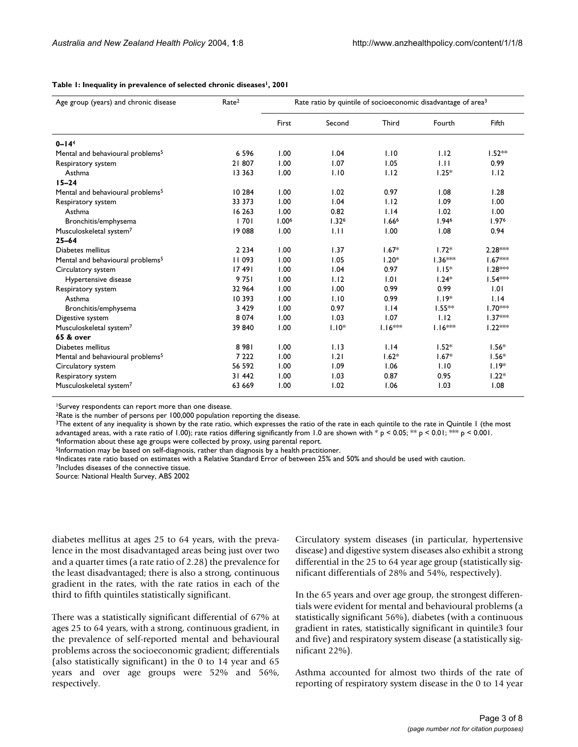## <span id="page-2-0"></span>Table 1: Inequality in prevalence of selected chronic diseases<sup>1</sup>, 2001

| Age group (years) and chronic disease        | Rate <sup>2</sup> | Rate ratio by quintile of socioeconomic disadvantage of area <sup>3</sup> |                   |              |           |           |
|----------------------------------------------|-------------------|---------------------------------------------------------------------------|-------------------|--------------|-----------|-----------|
|                                              |                   | First                                                                     | Second            | <b>Third</b> | Fourth    | Fifth     |
| $0 - 144$                                    |                   |                                                                           |                   |              |           |           |
| Mental and behavioural problems <sup>5</sup> | 6 5 9 6           | 1.00                                                                      | 1.04              | 1.10         | 1.12      | $1.52**$  |
| Respiratory system                           | 21807             | 1.00                                                                      | 1.07              | 1.05         | 1.11      | 0.99      |
| Asthma                                       | 13 363            | 1.00                                                                      | 1.10              | 1.12         | $1.25*$   | 1.12      |
| $15 - 24$                                    |                   |                                                                           |                   |              |           |           |
| Mental and behavioural problems <sup>5</sup> | 10 284            | 1.00                                                                      | 1.02              | 0.97         | 1.08      | 1.28      |
| Respiratory system                           | 33 373            | 1.00                                                                      | 1.04              | 1.12         | 1.09      | 1.00      |
| Asthma                                       | 16 263            | 1.00                                                                      | 0.82              | 1.14         | 1.02      | 1.00      |
| Bronchitis/emphysema                         | 1701              | 1.00 <sup>6</sup>                                                         | 1.32 <sup>6</sup> | 1.666        | 1.946     | 1.976     |
| Musculoskeletal system <sup>7</sup>          | 19 088            | 1.00                                                                      | 1.11              | 1.00         | 1.08      | 0.94      |
| $25 - 64$                                    |                   |                                                                           |                   |              |           |           |
| Diabetes mellitus                            | 2 2 3 4           | 1.00                                                                      | 1.37              | $1.67*$      | $1.72*$   | 2.28***   |
| Mental and behavioural problems <sup>5</sup> | 11093             | 1.00                                                                      | 1.05              | $1.20*$      | $1.36***$ | $1.67***$ |
| Circulatory system                           | 17491             | 1.00                                                                      | 1.04              | 0.97         | $1.15*$   | $1.28***$ |
| Hypertensive disease                         | 9751              | 1.00                                                                      | 1.12              | 1.01         | $1.24*$   | $1.54***$ |
| Respiratory system                           | 32 964            | 1.00                                                                      | 1.00              | 0.99         | 0.99      | 1.01      |
| Asthma                                       | 10 393            | 1.00                                                                      | 1.10              | 0.99         | $1.19*$   | 1.14      |
| Bronchitis/emphysema                         | 3 4 2 9           | 1.00                                                                      | 0.97              | 1.14         | $1.55**$  | $1.70***$ |
| Digestive system                             | 8074              | 1.00                                                                      | 1.03              | 1.07         | 1.12      | $1.37***$ |
| Musculoskeletal system <sup>7</sup>          | 39 840            | 1.00                                                                      | $1.10*$           | $1.16***$    | $1.16***$ | $1.22***$ |
| <b>65 &amp; over</b>                         |                   |                                                                           |                   |              |           |           |
| Diabetes mellitus                            | 8981              | 1.00                                                                      | 1.13              | 1.14         | $1.52*$   | $1.56*$   |
| Mental and behavioural problems <sup>5</sup> | 7 2 2 2           | 1.00                                                                      | 1.21              | $1.62*$      | $1.67*$   | $1.56*$   |
| Circulatory system                           | 56 592            | 1.00                                                                      | 1.09              | 1.06         | 1.10      | $1.19*$   |
| Respiratory system                           | 31 442            | 1.00                                                                      | 1.03              | 0.87         | 0.95      | $1.22*$   |
| Musculoskeletal system <sup>7</sup>          | 63 669            | 1.00                                                                      | 1.02              | 1.06         | 1.03      | 1.08      |

1Survey respondents can report more than one disease.

<sup>2</sup>Rate is the number of persons per 100,000 population reporting the disease.

<sup>3</sup>The extent of any inequality is shown by the rate ratio, which expresses the ratio of the rate in each quintile to the rate in Quintile 1 (the most advantaged areas, with a rate ratio of 1.00); rate ratios differing significantly from 1.0 are shown with  $* p < 0.05; ** p < 0.01; ** p < 0.001$ . 4Information about these age groups were collected by proxy, using parental report.

5Information may be based on self-diagnosis, rather than diagnosis by a health practitioner.

6Indicates rate ratio based on estimates with a Relative Standard Error of between 25% and 50% and should be used with caution.

7Includes diseases of the connective tissue.

Source: National Health Survey, ABS 2002

diabetes mellitus at ages 25 to 64 years, with the prevalence in the most disadvantaged areas being just over two and a quarter times (a rate ratio of 2.28) the prevalence for the least disadvantaged; there is also a strong, continuous gradient in the rates, with the rate ratios in each of the third to fifth quintiles statistically significant.

There was a statistically significant differential of 67% at ages 25 to 64 years, with a strong, continuous gradient, in the prevalence of self-reported mental and behavioural problems across the socioeconomic gradient; differentials (also statistically significant) in the 0 to 14 year and 65 years and over age groups were 52% and 56%, respectively.

Circulatory system diseases (in particular, hypertensive disease) and digestive system diseases also exhibit a strong differential in the 25 to 64 year age group (statistically significant differentials of 28% and 54%, respectively).

In the 65 years and over age group, the strongest differentials were evident for mental and behavioural problems (a statistically significant 56%), diabetes (with a continuous gradient in rates, statistically significant in quintile3 four and five) and respiratory system disease (a statistically significant 22%).

Asthma accounted for almost two thirds of the rate of reporting of respiratory system disease in the 0 to 14 year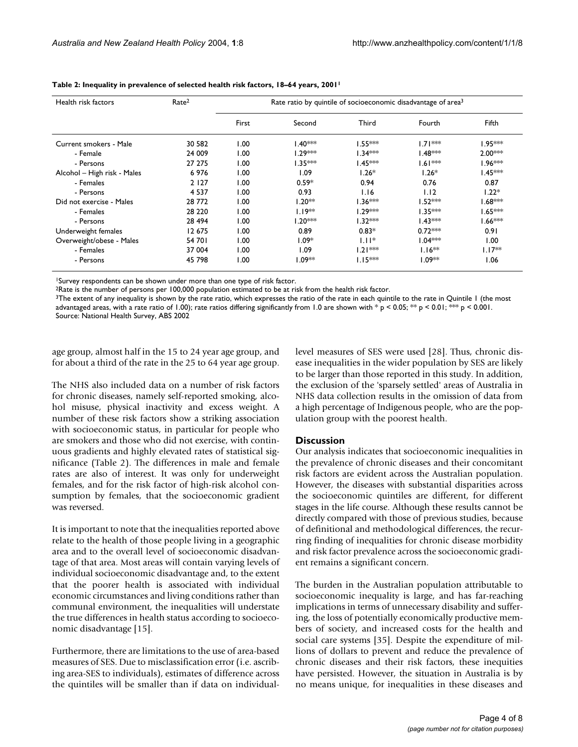| Health risk factors         | Rate <sup>2</sup> | Rate ratio by quintile of socioeconomic disadvantage of area <sup>3</sup> |                      |           |                      |                      |  |  |
|-----------------------------|-------------------|---------------------------------------------------------------------------|----------------------|-----------|----------------------|----------------------|--|--|
|                             |                   | First                                                                     | Second               | Third     | Fourth               | Fifth                |  |  |
| Current smokers - Male      | 30 582            | 1.00                                                                      | l.40 <sup>≭≉≮</sup>  | $1.55***$ | $1.71***$            | l.95***              |  |  |
| - Female                    | 24 009            | 1.00                                                                      | l.29 <sup>*∞k</sup>  | $1.34***$ | l.48 <sup>≭≭</sup> * | $2.00***$            |  |  |
| - Persons                   | 27 275            | 1.00                                                                      | l.35 <sup>*⇔⊱≮</sup> | $1.45***$ | l.61 <sup>*≈≈≮</sup> | l.96 <sup>∗⇔⊳∗</sup> |  |  |
| Alcohol - High risk - Males | 6976              | 1.00                                                                      | 1.09                 | $1.26*$   | $1.26*$              | l.45 <sup>*</sup> ** |  |  |
| - Females                   | 2 1 2 7           | 1.00                                                                      | $0.59*$              | 0.94      | 0.76                 | 0.87                 |  |  |
| - Persons                   | 4 5 3 7           | 1.00                                                                      | 0.93                 | 1.16      | 1.12                 | $1.22*$              |  |  |
| Did not exercise - Males    | 28 772            | 1.00                                                                      | $1.20**$             | $1.36***$ | $1.52***$            | 1.68 <sup>*</sup> *  |  |  |
| - Females                   | 28 2 20           | 1.00                                                                      | $1.19***$            | । 29***   | $1.35***$            | $1.65***$            |  |  |
| - Persons                   | 28 494            | 1.00                                                                      | l.20 <sup>*</sup> *  | $1.32***$ | l.43 <sup>≭≭≈</sup>  | $1.66***$            |  |  |
| Underweight females         | 12675             | 00. ا                                                                     | 0.89                 | $0.83*$   | $0.72***$            | 0.91                 |  |  |
| Overweight/obese - Males    | 54 70 1           | 1.00                                                                      | $1.09*$              | $1.11*$   | I 04***              | 1.00                 |  |  |
| - Females                   | 37 004            | 1.00                                                                      | I.09                 | $1.21***$ | $1.16***$            | $1.17**$             |  |  |
| - Persons                   | 45 798            | 1.00                                                                      | l.09**               | $1.15***$ | l.09**               | 1.06                 |  |  |

**Table 2: Inequality in prevalence of selected health risk factors, 18–64 years, 20011**

1Survey respondents can be shown under more than one type of risk factor.

2Rate is the number of persons per 100,000 population estimated to be at risk from the health risk factor.

<sup>3</sup>The extent of any inequality is shown by the rate ratio, which expresses the ratio of the rate in each quintile to the rate in Quintile 1 (the most advantaged areas, with a rate ratio of 1.00); rate ratios differing significantly from 1.0 are shown with \* p < 0.05; \*\* p < 0.01; \*\* p < 0.001. Source: National Health Survey, ABS 2002

age group, almost half in the 15 to 24 year age group, and for about a third of the rate in the 25 to 64 year age group.

The NHS also included data on a number of risk factors for chronic diseases, namely self-reported smoking, alcohol misuse, physical inactivity and excess weight. A number of these risk factors show a striking association with socioeconomic status, in particular for people who are smokers and those who did not exercise, with continuous gradients and highly elevated rates of statistical significance (Table 2). The differences in male and female rates are also of interest. It was only for underweight females, and for the risk factor of high-risk alcohol consumption by females, that the socioeconomic gradient was reversed.

It is important to note that the inequalities reported above relate to the health of those people living in a geographic area and to the overall level of socioeconomic disadvantage of that area. Most areas will contain varying levels of individual socioeconomic disadvantage and, to the extent that the poorer health is associated with individual economic circumstances and living conditions rather than communal environment, the inequalities will understate the true differences in health status according to socioeconomic disadvantage [15].

Furthermore, there are limitations to the use of area-based measures of SES. Due to misclassification error (i.e. ascribing area-SES to individuals), estimates of difference across the quintiles will be smaller than if data on individuallevel measures of SES were used [28]. Thus, chronic disease inequalities in the wider population by SES are likely to be larger than those reported in this study. In addition, the exclusion of the 'sparsely settled' areas of Australia in NHS data collection results in the omission of data from a high percentage of Indigenous people, who are the population group with the poorest health.

## **Discussion**

Our analysis indicates that socioeconomic inequalities in the prevalence of chronic diseases and their concomitant risk factors are evident across the Australian population. However, the diseases with substantial disparities across the socioeconomic quintiles are different, for different stages in the life course. Although these results cannot be directly compared with those of previous studies, because of definitional and methodological differences, the recurring finding of inequalities for chronic disease morbidity and risk factor prevalence across the socioeconomic gradient remains a significant concern.

The burden in the Australian population attributable to socioeconomic inequality is large, and has far-reaching implications in terms of unnecessary disability and suffering, the loss of potentially economically productive members of society, and increased costs for the health and social care systems [35]. Despite the expenditure of millions of dollars to prevent and reduce the prevalence of chronic diseases and their risk factors, these inequities have persisted. However, the situation in Australia is by no means unique, for inequalities in these diseases and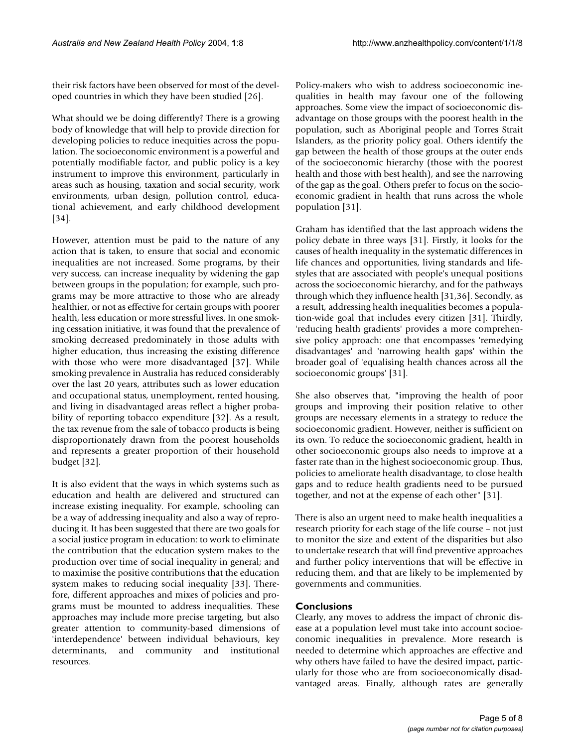their risk factors have been observed for most of the developed countries in which they have been studied [26].

What should we be doing differently? There is a growing body of knowledge that will help to provide direction for developing policies to reduce inequities across the population. The socioeconomic environment is a powerful and potentially modifiable factor, and public policy is a key instrument to improve this environment, particularly in areas such as housing, taxation and social security, work environments, urban design, pollution control, educational achievement, and early childhood development [34].

However, attention must be paid to the nature of any action that is taken, to ensure that social and economic inequalities are not increased. Some programs, by their very success, can increase inequality by widening the gap between groups in the population; for example, such programs may be more attractive to those who are already healthier, or not as effective for certain groups with poorer health, less education or more stressful lives. In one smoking cessation initiative, it was found that the prevalence of smoking decreased predominately in those adults with higher education, thus increasing the existing difference with those who were more disadvantaged [37]. While smoking prevalence in Australia has reduced considerably over the last 20 years, attributes such as lower education and occupational status, unemployment, rented housing, and living in disadvantaged areas reflect a higher probability of reporting tobacco expenditure [32]. As a result, the tax revenue from the sale of tobacco products is being disproportionately drawn from the poorest households and represents a greater proportion of their household budget [32].

It is also evident that the ways in which systems such as education and health are delivered and structured can increase existing inequality. For example, schooling can be a way of addressing inequality and also a way of reproducing it. It has been suggested that there are two goals for a social justice program in education: to work to eliminate the contribution that the education system makes to the production over time of social inequality in general; and to maximise the positive contributions that the education system makes to reducing social inequality [33]. Therefore, different approaches and mixes of policies and programs must be mounted to address inequalities. These approaches may include more precise targeting, but also greater attention to community-based dimensions of 'interdependence' between individual behaviours, key determinants, and community and institutional resources.

Policy-makers who wish to address socioeconomic inequalities in health may favour one of the following approaches. Some view the impact of socioeconomic disadvantage on those groups with the poorest health in the population, such as Aboriginal people and Torres Strait Islanders, as the priority policy goal. Others identify the gap between the health of those groups at the outer ends of the socioeconomic hierarchy (those with the poorest health and those with best health), and see the narrowing of the gap as the goal. Others prefer to focus on the socioeconomic gradient in health that runs across the whole population [31].

Graham has identified that the last approach widens the policy debate in three ways [31]. Firstly, it looks for the causes of health inequality in the systematic differences in life chances and opportunities, living standards and lifestyles that are associated with people's unequal positions across the socioeconomic hierarchy, and for the pathways through which they influence health [31,36]. Secondly, as a result, addressing health inequalities becomes a population-wide goal that includes every citizen [31]. Thirdly, 'reducing health gradients' provides a more comprehensive policy approach: one that encompasses 'remedying disadvantages' and 'narrowing health gaps' within the broader goal of 'equalising health chances across all the socioeconomic groups' [31].

She also observes that, "improving the health of poor groups and improving their position relative to other groups are necessary elements in a strategy to reduce the socioeconomic gradient. However, neither is sufficient on its own. To reduce the socioeconomic gradient, health in other socioeconomic groups also needs to improve at a faster rate than in the highest socioeconomic group. Thus, policies to ameliorate health disadvantage, to close health gaps and to reduce health gradients need to be pursued together, and not at the expense of each other" [31].

There is also an urgent need to make health inequalities a research priority for each stage of the life course – not just to monitor the size and extent of the disparities but also to undertake research that will find preventive approaches and further policy interventions that will be effective in reducing them, and that are likely to be implemented by governments and communities.

## **Conclusions**

Clearly, any moves to address the impact of chronic disease at a population level must take into account socioeconomic inequalities in prevalence. More research is needed to determine which approaches are effective and why others have failed to have the desired impact, particularly for those who are from socioeconomically disadvantaged areas. Finally, although rates are generally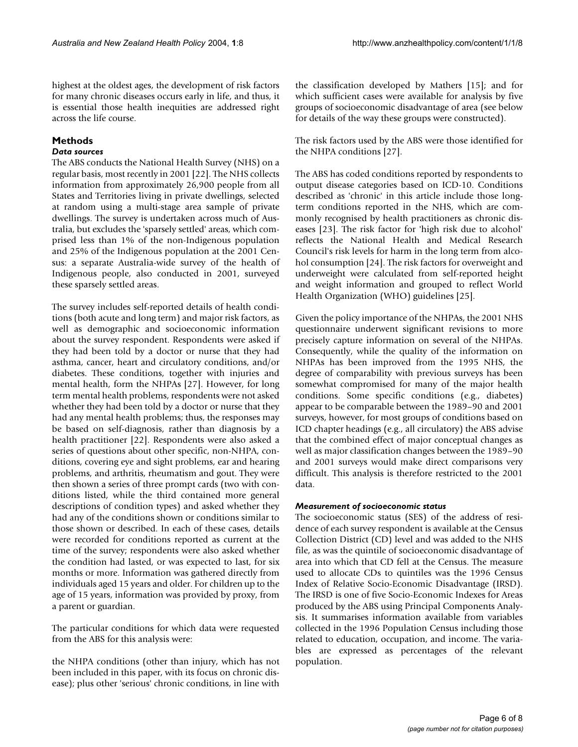highest at the oldest ages, the development of risk factors for many chronic diseases occurs early in life, and thus, it is essential those health inequities are addressed right across the life course.

## **Methods**

## *Data sources*

The ABS conducts the National Health Survey (NHS) on a regular basis, most recently in 2001 [22]. The NHS collects information from approximately 26,900 people from all States and Territories living in private dwellings, selected at random using a multi-stage area sample of private dwellings. The survey is undertaken across much of Australia, but excludes the 'sparsely settled' areas, which comprised less than 1% of the non-Indigenous population and 25% of the Indigenous population at the 2001 Census: a separate Australia-wide survey of the health of Indigenous people, also conducted in 2001, surveyed these sparsely settled areas.

The survey includes self-reported details of health conditions (both acute and long term) and major risk factors, as well as demographic and socioeconomic information about the survey respondent. Respondents were asked if they had been told by a doctor or nurse that they had asthma, cancer, heart and circulatory conditions, and/or diabetes. These conditions, together with injuries and mental health, form the NHPAs [27]. However, for long term mental health problems, respondents were not asked whether they had been told by a doctor or nurse that they had any mental health problems; thus, the responses may be based on self-diagnosis, rather than diagnosis by a health practitioner [22]. Respondents were also asked a series of questions about other specific, non-NHPA, conditions, covering eye and sight problems, ear and hearing problems, and arthritis, rheumatism and gout. They were then shown a series of three prompt cards (two with conditions listed, while the third contained more general descriptions of condition types) and asked whether they had any of the conditions shown or conditions similar to those shown or described. In each of these cases, details were recorded for conditions reported as current at the time of the survey; respondents were also asked whether the condition had lasted, or was expected to last, for six months or more. Information was gathered directly from individuals aged 15 years and older. For children up to the age of 15 years, information was provided by proxy, from a parent or guardian.

The particular conditions for which data were requested from the ABS for this analysis were:

the NHPA conditions (other than injury, which has not been included in this paper, with its focus on chronic disease); plus other 'serious' chronic conditions, in line with the classification developed by Mathers [15]; and for which sufficient cases were available for analysis by five groups of socioeconomic disadvantage of area (see below for details of the way these groups were constructed).

The risk factors used by the ABS were those identified for the NHPA conditions [27].

The ABS has coded conditions reported by respondents to output disease categories based on ICD-10. Conditions described as 'chronic' in this article include those longterm conditions reported in the NHS, which are commonly recognised by health practitioners as chronic diseases [23]. The risk factor for 'high risk due to alcohol' reflects the National Health and Medical Research Council's risk levels for harm in the long term from alcohol consumption [24]. The risk factors for overweight and underweight were calculated from self-reported height and weight information and grouped to reflect World Health Organization (WHO) guidelines [25].

Given the policy importance of the NHPAs, the 2001 NHS questionnaire underwent significant revisions to more precisely capture information on several of the NHPAs. Consequently, while the quality of the information on NHPAs has been improved from the 1995 NHS, the degree of comparability with previous surveys has been somewhat compromised for many of the major health conditions. Some specific conditions (e.g., diabetes) appear to be comparable between the 1989–90 and 2001 surveys, however, for most groups of conditions based on ICD chapter headings (e.g., all circulatory) the ABS advise that the combined effect of major conceptual changes as well as major classification changes between the 1989–90 and 2001 surveys would make direct comparisons very difficult. This analysis is therefore restricted to the 2001 data.

## *Measurement of socioeconomic status*

The socioeconomic status (SES) of the address of residence of each survey respondent is available at the Census Collection District (CD) level and was added to the NHS file, as was the quintile of socioeconomic disadvantage of area into which that CD fell at the Census. The measure used to allocate CDs to quintiles was the 1996 Census Index of Relative Socio-Economic Disadvantage (IRSD). The IRSD is one of five Socio-Economic Indexes for Areas produced by the ABS using Principal Components Analysis. It summarises information available from variables collected in the 1996 Population Census including those related to education, occupation, and income. The variables are expressed as percentages of the relevant population.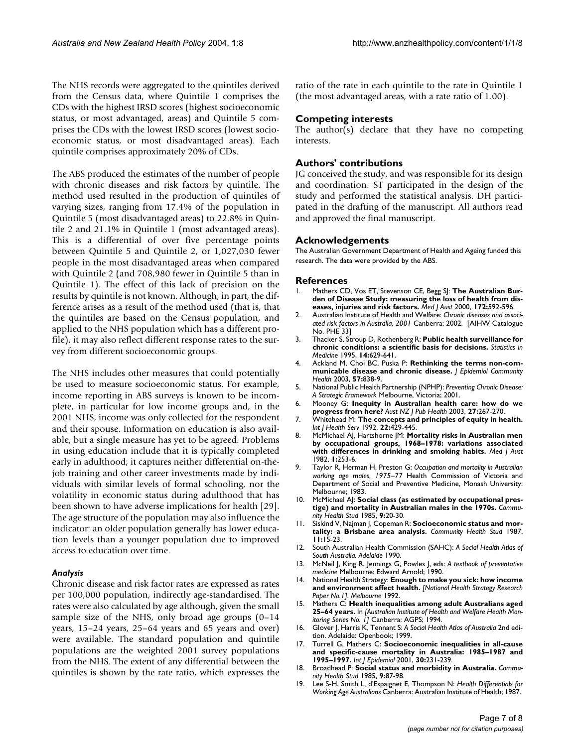The NHS records were aggregated to the quintiles derived from the Census data, where Quintile 1 comprises the CDs with the highest IRSD scores (highest socioeconomic status, or most advantaged, areas) and Quintile 5 comprises the CDs with the lowest IRSD scores (lowest socioeconomic status, or most disadvantaged areas). Each quintile comprises approximately 20% of CDs.

The ABS produced the estimates of the number of people with chronic diseases and risk factors by quintile. The method used resulted in the production of quintiles of varying sizes, ranging from 17.4% of the population in Quintile 5 (most disadvantaged areas) to 22.8% in Quintile 2 and 21.1% in Quintile 1 (most advantaged areas). This is a differential of over five percentage points between Quintile 5 and Quintile 2, or 1,027,030 fewer people in the most disadvantaged areas when compared with Quintile 2 (and 708,980 fewer in Quintile 5 than in Quintile 1). The effect of this lack of precision on the results by quintile is not known. Although, in part, the difference arises as a result of the method used (that is, that the quintiles are based on the Census population, and applied to the NHS population which has a different profile), it may also reflect different response rates to the survey from different socioeconomic groups.

The NHS includes other measures that could potentially be used to measure socioeconomic status. For example, income reporting in ABS surveys is known to be incomplete, in particular for low income groups and, in the 2001 NHS, income was only collected for the respondent and their spouse. Information on education is also available, but a single measure has yet to be agreed. Problems in using education include that it is typically completed early in adulthood; it captures neither differential on-thejob training and other career investments made by individuals with similar levels of formal schooling, nor the volatility in economic status during adulthood that has been shown to have adverse implications for health [29]. The age structure of the population may also influence the indicator: an older population generally has lower education levels than a younger population due to improved access to education over time.

#### *Analysis*

Chronic disease and risk factor rates are expressed as rates per 100,000 population, indirectly age-standardised. The rates were also calculated by age although, given the small sample size of the NHS, only broad age groups (0–14 years, 15–24 years, 25–64 years and 65 years and over) were available. The standard population and quintile populations are the weighted 2001 survey populations from the NHS. The extent of any differential between the quintiles is shown by the rate ratio, which expresses the ratio of the rate in each quintile to the rate in Quintile 1 (the most advantaged areas, with a rate ratio of 1.00).

## **Competing interests**

The author(s) declare that they have no competing interests.

## **Authors' contributions**

JG conceived the study, and was responsible for its design and coordination. ST participated in the design of the study and performed the statistical analysis. DH participated in the drafting of the manuscript. All authors read and approved the final manuscript.

#### **Acknowledgements**

The Australian Government Department of Health and Ageing funded this research. The data were provided by the ABS.

#### **References**

- 1. Mathers CD, Vos ET, Stevenson CE, Begg SJ: **[The Australian Bur](http://www.ncbi.nlm.nih.gov/entrez/query.fcgi?cmd=Retrieve&db=PubMed&dopt=Abstract&list_uids=10914105)[den of Disease Study: measuring the loss of health from dis](http://www.ncbi.nlm.nih.gov/entrez/query.fcgi?cmd=Retrieve&db=PubMed&dopt=Abstract&list_uids=10914105)[eases, injuries and risk factors.](http://www.ncbi.nlm.nih.gov/entrez/query.fcgi?cmd=Retrieve&db=PubMed&dopt=Abstract&list_uids=10914105)** *Med J Aust* 2000, **172:**592-596.
- 2. Australian Institute of Health and Welfare: *Chronic diseases and associated risk factors in Australia, 2001* Canberra; 2002. [AIHW Catalogue No. PHE 33]
- 3. Thacker S, Stroup D, Rothenberg R: **[Public health surveillance for](http://www.ncbi.nlm.nih.gov/entrez/query.fcgi?cmd=Retrieve&db=PubMed&dopt=Abstract&list_uids=7792453) [chronic conditions: a scientific basis for decisions.](http://www.ncbi.nlm.nih.gov/entrez/query.fcgi?cmd=Retrieve&db=PubMed&dopt=Abstract&list_uids=7792453)** *Statistics in Medicine* 1995, **14:**629-641.
- 4. Ackland M, Choi BC, Puska P: **[Rethinking the terms non-com](http://www.ncbi.nlm.nih.gov/entrez/query.fcgi?cmd=Retrieve&db=PubMed&dopt=Abstract&list_uids=14600102)[municable disease and chronic disease.](http://www.ncbi.nlm.nih.gov/entrez/query.fcgi?cmd=Retrieve&db=PubMed&dopt=Abstract&list_uids=14600102)** *J Epidemiol Community Health* 2003, **57:**838-9.
- 5. National Public Health Partnership (NPHP): *Preventing Chronic Disease: A Strategic Framework* Melbourne, Victoria; 2001.
- 6. Mooney G: **Inequity in Australian health care: how do we progress from here?** *Aust NZ J Pub Health* 2003, **27:**267-270.
- 7. Whitehead M: **[The concepts and principles of equity in health.](http://www.ncbi.nlm.nih.gov/entrez/query.fcgi?cmd=Retrieve&db=PubMed&dopt=Abstract&list_uids=1644507)** *Int J Health Serv* 1992, **22:**429-445.
- 8. McMichael AJ, Hartshorne JM: **[Mortality risks in Australian men](http://www.ncbi.nlm.nih.gov/entrez/query.fcgi?cmd=Retrieve&db=PubMed&dopt=Abstract&list_uids=7087848) [by occupational groups, 1968–1978: variations associated](http://www.ncbi.nlm.nih.gov/entrez/query.fcgi?cmd=Retrieve&db=PubMed&dopt=Abstract&list_uids=7087848) [with differences in drinking and smoking habits.](http://www.ncbi.nlm.nih.gov/entrez/query.fcgi?cmd=Retrieve&db=PubMed&dopt=Abstract&list_uids=7087848)** *Med J Aust* 1982, **1:**253-6.
- 9. Taylor R, Herman H, Preston G: *Occupation and mortality in Australian working age males, 1975–77* Health Commission of Victoria and Department of Social and Preventive Medicine, Monash University: Melbourne; 1983.
- 10. McMichael AJ: **Social class (as estimated by occupational prestige) and mortality in Australian males in the 1970s.** *Community Health Stud* 1985, **9:**20-30.
- 11. Siskind V, Najman J, Copeman R: **[Socioeconomic status and mor](http://www.ncbi.nlm.nih.gov/entrez/query.fcgi?cmd=Retrieve&db=PubMed&dopt=Abstract&list_uids=3581776)[tality: a Brisbane area analysis.](http://www.ncbi.nlm.nih.gov/entrez/query.fcgi?cmd=Retrieve&db=PubMed&dopt=Abstract&list_uids=3581776)** *Community Health Stud* 1987, **11:**15-23.
- 12. South Australian Health Commission (SAHC): *A Social Health Atlas of South Australia. Adelaide* 1990.
- 13. McNeil J, King R, Jennings G, Powles J, eds: *A textbook of preventative medicine* Melbourne: Edward Arnold; 1990.
- 14. National Health Strategy: **Enough to make you sick: how income and environment affect health.** *[National Health Strategy Research Paper No.1]. Melbourne* 1992.
- 15. Mathers C: **Health inequalities among adult Australians aged 25–64 years.** In *[Australian Institute of Health and Welfare Health Monitoring Series No. 1]* Canberra: AGPS; 1994.
- 16. Glover J, Harris K, Tennant S: *A Social Health Atlas of Australia* 2nd edition. Adelaide: Openbook; 1999.
- 17. Turrell G, Mathers C: **[Socioeconomic inequalities in all-cause](http://www.ncbi.nlm.nih.gov/entrez/query.fcgi?cmd=Retrieve&db=PubMed&dopt=Abstract&list_uids=11369721) [and specific-cause mortality in Australia: 1985–1987 and](http://www.ncbi.nlm.nih.gov/entrez/query.fcgi?cmd=Retrieve&db=PubMed&dopt=Abstract&list_uids=11369721) [1995–1997.](http://www.ncbi.nlm.nih.gov/entrez/query.fcgi?cmd=Retrieve&db=PubMed&dopt=Abstract&list_uids=11369721)** *Int J Epidemiol* 2001, **30:**231-239.
- 18. Broadhead P: **[Social status and morbidity in Australia.](http://www.ncbi.nlm.nih.gov/entrez/query.fcgi?cmd=Retrieve&db=PubMed&dopt=Abstract&list_uids=4028680)** *Community Health Stud* 1985, **9:**87-98.
- 19. Lee S-H, Smith L, d'Espaignet E, Thompson N: *Health Differentials for Working Age Australians* Canberra: Australian Institute of Health; 1987.